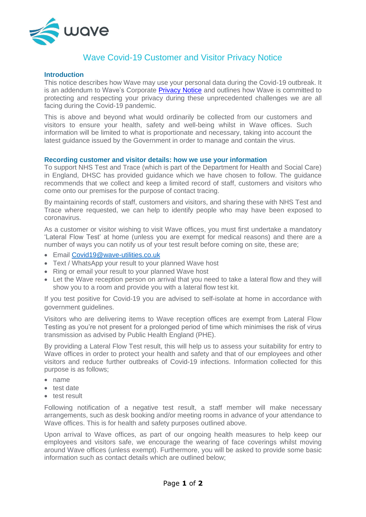

## Wave Covid-19 Customer and Visitor Privacy Notice

## **Introduction**

This notice describes how Wave may use your personal data during the Covid-19 outbreak. It is an addendum to Wave's Corporate [Privacy Notice](https://www.wave-utilities.co.uk/privacy-policy) and outlines how Wave is committed to protecting and respecting your privacy during these unprecedented challenges we are all facing during the Covid-19 pandemic.

This is above and beyond what would ordinarily be collected from our customers and visitors to ensure your health, safety and well-being whilst in Wave offices. Such information will be limited to what is proportionate and necessary, taking into account the latest guidance issued by the Government in order to manage and contain the virus.

## **Recording customer and visitor details: how we use your information**

To support NHS Test and Trace (which is part of the Department for Health and Social Care) in England, DHSC has provided guidance which we have chosen to follow. The guidance recommends that we collect and keep a limited record of staff, customers and visitors who come onto our premises for the purpose of contact tracing.

By maintaining records of staff, customers and visitors, and sharing these with NHS Test and Trace where requested, we can help to identify people who may have been exposed to coronavirus.

As a customer or visitor wishing to visit Wave offices, you must first undertake a mandatory 'Lateral Flow Test' at home (unless you are exempt for medical reasons) and there are a number of ways you can notify us of your test result before coming on site, these are;

- Email [Covid19@wave-utilities.co.uk](mailto:Covid19@wave-utilities.co.uk)
- Text / WhatsApp your result to your planned Wave host
- Ring or email your result to your planned Wave host
- Let the Wave reception person on arrival that you need to take a lateral flow and they will show you to a room and provide you with a lateral flow test kit.

If you test positive for Covid-19 you are advised to self-isolate at home in accordance with government guidelines.

Visitors who are delivering items to Wave reception offices are exempt from Lateral Flow Testing as you're not present for a prolonged period of time which minimises the risk of virus transmission as advised by Public Health England (PHE).

By providing a Lateral Flow Test result, this will help us to assess your suitability for entry to Wave offices in order to protect your health and safety and that of our employees and other visitors and reduce further outbreaks of Covid-19 infections. Information collected for this purpose is as follows;

- name
- test date
- test result

Following notification of a negative test result, a staff member will make necessary arrangements, such as desk booking and/or meeting rooms in advance of your attendance to Wave offices. This is for health and safety purposes outlined above.

Upon arrival to Wave offices, as part of our ongoing health measures to help keep our employees and visitors safe, we encourage the wearing of face coverings whilst moving around Wave offices (unless exempt). Furthermore, you will be asked to provide some basic information such as contact details which are outlined below;